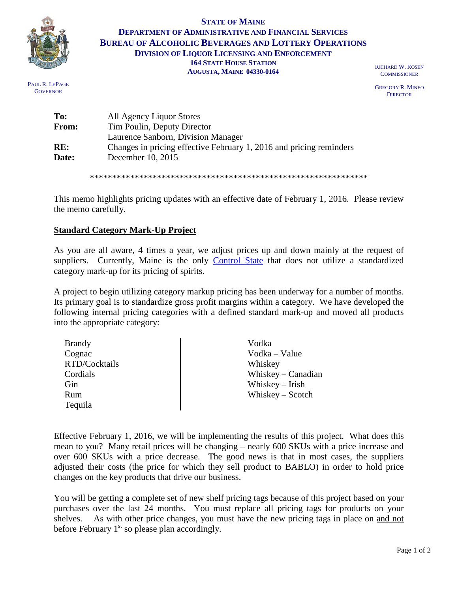

PAUL R. LEPAGE **GOVERNOR** 

## **STATE OF MAINE DEPARTMENT OF ADMINISTRATIVE AND FINANCIAL SERVICES BUREAU OF ALCOHOLIC BEVERAGES AND LOTTERY OPERATIONS DIVISION OF LIQUOR LICENSING AND ENFORCEMENT 164 STATE HOUSE STATION AUGUSTA, MAINE 04330-0164**

RICHARD W. ROSEN **COMMISSIONER** 

GREGORY R. MINEO **DIRECTOR** 

| To:   | All Agency Liquor Stores                                            |  |
|-------|---------------------------------------------------------------------|--|
| From: | Tim Poulin, Deputy Director                                         |  |
|       | Laurence Sanborn, Division Manager                                  |  |
| RE:   | Changes in pricing effective February 1, 2016 and pricing reminders |  |
| Date: | December 10, 2015                                                   |  |
|       |                                                                     |  |

\*\*\*\*\*\*\*\*\*\*\*\*\*\*\*\*\*\*\*\*\*\*\*\*\*\*\*\*\*\*\*\*\*\*\*\*\*\*\*\*\*\*\*\*\*\*\*\*\*\*\*\*\*\*\*\*\*\*\*\*\*\*

This memo highlights pricing updates with an effective date of February 1, 2016. Please review the memo carefully.

## **Standard Category Mark-Up Project**

As you are all aware, 4 times a year, we adjust prices up and down mainly at the request of suppliers. Currently, Maine is the only [Control State](http://www.nabca.org/page/historical-overview) that does not utilize a standardized category mark-up for its pricing of spirits.

A project to begin utilizing category markup pricing has been underway for a number of months. Its primary goal is to standardize gross profit margins within a category. We have developed the following internal pricing categories with a defined standard mark-up and moved all products into the appropriate category:

| <b>Brandy</b> | Vodka                |
|---------------|----------------------|
| Cognac        | Vodka – Value        |
| RTD/Cocktails | Whiskey              |
| Cordials      | Whiskey $-$ Canadian |
| Gin           | Whiskey $-$ Irish    |
| Rum           | Whiskey $-$ Scotch   |
| Tequila       |                      |

Effective February 1, 2016, we will be implementing the results of this project. What does this mean to you? Many retail prices will be changing – nearly 600 SKUs with a price increase and over 600 SKUs with a price decrease. The good news is that in most cases, the suppliers adjusted their costs (the price for which they sell product to BABLO) in order to hold price changes on the key products that drive our business.

You will be getting a complete set of new shelf pricing tags because of this project based on your purchases over the last 24 months. You must replace all pricing tags for products on your shelves. As with other price changes, you must have the new pricing tags in place on and not before February  $1<sup>st</sup>$  so please plan accordingly.